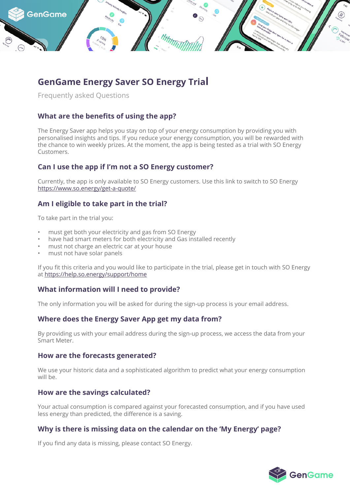

# **GenGame Energy Saver SO Energy Trial**

Frequently asked Questions

# **What are the benefits of using the app?**

The Energy Saver app helps you stay on top of your energy consumption by providing you with personalised insights and tips. If you reduce your energy consumption, you will be rewarded with the chance to win weekly prizes. At the moment, the app is being tested as a trial with SO Energy Customers.

# **Can I use the app if I'm not a SO Energy customer?**

Currently, the app is only available to SO Energy customers. Use this link to switch to SO Energy https://www.so.energy/get-a-quote/

# **Am I eligible to take part in the trial?**

To take part in the trial you:

- must get both your electricity and gas from SO Energy
- have had smart meters for both electricity and Gas installed recently
- must not charge an electric car at your house
- must not have solar panels

If you fit this criteria and you would like to participate in the trial, please get in touch with SO Energy at https://help.so.energy/support/home

## **What information will I need to provide?**

The only information you will be asked for during the sign-up process is your email address.

## **Where does the Energy Saver App get my data from?**

By providing us with your email address during the sign-up process, we access the data from your Smart Meter.

#### **How are the forecasts generated?**

We use your historic data and a sophisticated algorithm to predict what your energy consumption will be.

## **How are the savings calculated?**

Your actual consumption is compared against your forecasted consumption, and if you have used less energy than predicted, the difference is a saving.

# **Why is there is missing data on the calendar on the 'My Energy' page?**

If you find any data is missing, please contact SO Energy.